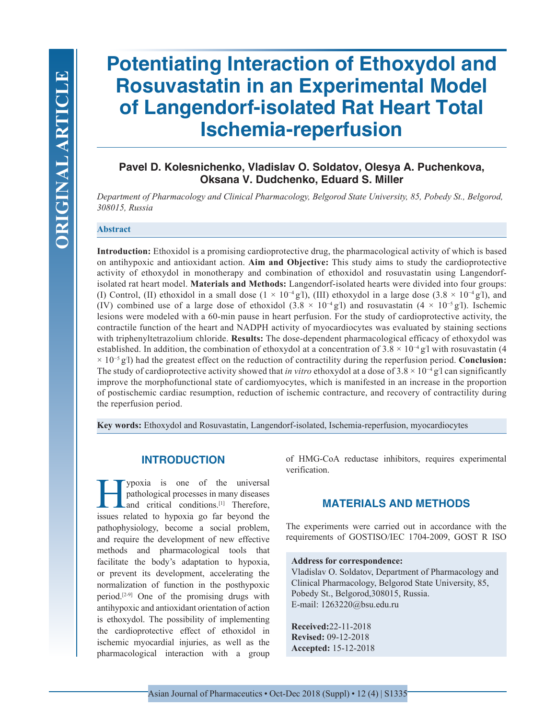# **Potentiating Interaction of Ethoxydol and Rosuvastatin in an Experimental Model of Langendorf-isolated Rat Heart Total Ischemia-reperfusion**

# **Pavel D. Kolesnichenko, Vladislav O. Soldatov, Olesya A. Puchenkova, Oksana V. Dudchenko, Eduard S. Miller**

*Department of Pharmacology and Clinical Pharmacology, Belgorod State University, 85, Pobedy St., Belgorod, 308015, Russia*

## **Abstract**

**Introduction:** Ethoxidol is a promising cardioprotective drug, the pharmacological activity of which is based on antihypoxic and antioxidant action. **Aim and Objective:** This study aims to study the cardioprotective activity of ethoxydol in monotherapy and combination of ethoxidol and rosuvastatin using Langendorfisolated rat heart model. **Materials and Methods:** Langendorf-isolated hearts were divided into four groups: (I) Control, (II) ethoxidol in a small dose  $(1 \times 10^{-4} \text{ g}^{\prime}$ ), (III) ethoxydol in a large dose  $(3.8 \times 10^{-4} \text{ g}^{\prime}$ ), and (IV) combined use of a large dose of ethoxidol  $(3.8 \times 10^{-4} \text{ g}/l)$  and rosuvastatin  $(4 \times 10^{-5} \text{ g}/l)$ . Ischemic lesions were modeled with a 60-min pause in heart perfusion. For the study of cardioprotective activity, the contractile function of the heart and NADPH activity of myocardiocytes was evaluated by staining sections with triphenyltetrazolium chloride. **Results:** The dose-dependent pharmacological efficacy of ethoxydol was established. In addition, the combination of ethoxydol at a concentration of  $3.8 \times 10^{-4}$  g'l with rosuvastatin (4 × 10−5 g/ l) had the greatest effect on the reduction of contractility during the reperfusion period. **Conclusion:** The study of cardioprotective activity showed that *in vitro* ethoxydol at a dose of  $3.8 \times 10^{-4}$  g/l can significantly improve the morphofunctional state of cardiomyocytes, which is manifested in an increase in the proportion of postischemic cardiac resumption, reduction of ischemic contracture, and recovery of contractility during the reperfusion period.

**Key words:** Ethoxydol and Rosuvastatin, Langendorf-isolated, Ischemia-reperfusion, myocardiocytes

## **INTRODUCTION**

**Hypoxia** is one of the universal pathological processes in many diseases and critical conditions.<sup>[1]</sup> Therefore, issues related to hypoxia go far beyond the pathological processes in many diseases Land critical conditions.<sup>[1]</sup> Therefore, issues related to hypoxia go far beyond the pathophysiology, become a social problem, and require the development of new effective methods and pharmacological tools that facilitate the body's adaptation to hypoxia, or prevent its development, accelerating the normalization of function in the posthypoxic period.<sup>[2-9]</sup> One of the promising drugs with antihypoxic and antioxidant orientation of action is ethoxydol. The possibility of implementing the cardioprotective effect of ethoxidol in ischemic myocardial injuries, as well as the pharmacological interaction with a group of HMG-CoA reductase inhibitors, requires experimental verification.

## **MATERIALS AND METHODS**

The experiments were carried out in accordance with the requirements of GOSTISO/IEC 1704-2009, GOST R ISO

#### **Address for correspondence:**

Vladislav O. Soldatov, Department of Pharmacology and Clinical Pharmacology, Belgorod State University, 85, Pobedy St., Belgorod,308015, Russia. E-mail: 1263220@bsu.edu.ru

**Received:**22-11-2018 **Revised:** 09-12-2018 **Accepted:** 15-12-2018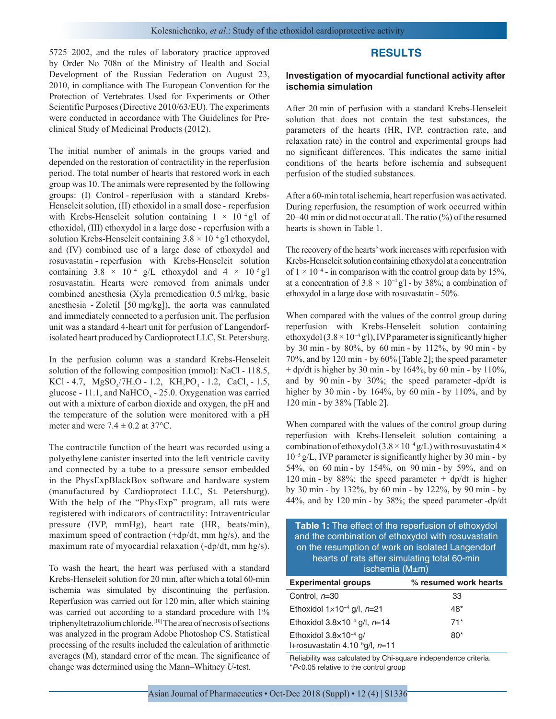5725–2002, and the rules of laboratory practice approved by Order No 708n of the Ministry of Health and Social Development of the Russian Federation on August 23, 2010, in compliance with The European Convention for the Protection of Vertebrates Used for Experiments or Other Scientific Purposes (Directive 2010/63/EU). The experiments were conducted in accordance with The Guidelines for Preclinical Study of Medicinal Products (2012).

The initial number of animals in the groups varied and depended on the restoration of contractility in the reperfusion period. The total number of hearts that restored work in each group was 10. The animals were represented by the following groups: (I) Control - reperfusion with a standard Krebs-Henseleit solution, (II) ethoxidol in a small dose - reperfusion with Krebs-Henseleit solution containing  $1 \times 10^{-4}$  g<sup>'</sup>l of ethoxidol, (III) ethoxydol in a large dose - reperfusion with a solution Krebs-Henseleit containing 3.8 × 10<sup>-4</sup> g<sup>/</sup>l ethoxydol, and (IV) combined use of a large dose of ethoxydol and rosuvastatin - reperfusion with Krebs-Henseleit solution containing  $3.8 \times 10^{-4}$  g/L ethoxydol and  $4 \times 10^{-5}$  g/l rosuvastatin. Hearts were removed from animals under combined anesthesia (Xyla premedication 0.5 ml/kg, basic anesthesia - Zoletil [50 mg/kg]), the aorta was cannulated and immediately connected to a perfusion unit. The perfusion unit was a standard 4-heart unit for perfusion of Langendorfisolated heart produced by Cardioprotect LLC, St. Petersburg.

In the perfusion column was a standard Krebs-Henseleit solution of the following composition (mmol): NaCl - 118.5, KCl - 4.7,  $MgSO_4/7H_2O$  - 1.2,  $KH_2PO_4$  - 1.2,  $CaCl_2$  - 1.5, glucose - 11.1, and NaHCO<sub>3</sub> - 25.0. Oxygenation was carried out with a mixture of carbon dioxide and oxygen, the pH and the temperature of the solution were monitored with a pH meter and were  $7.4 \pm 0.2$  at  $37^{\circ}$ C.

The contractile function of the heart was recorded using a polyethylene canister inserted into the left ventricle cavity and connected by a tube to a pressure sensor embedded in the PhysExpBlackBox software and hardware system (manufactured by Cardioprotect LLC, St. Petersburg). With the help of the "PhysExp" program, all rats were registered with indicators of contractility: Intraventricular pressure (IVP, mmHg), heart rate (HR, beats/min), maximum speed of contraction (+dp/dt, mm hg/s), and the maximum rate of myocardial relaxation (-dp/dt, mm hg/s).

To wash the heart, the heart was perfused with a standard Krebs-Henseleit solution for 20 min, after which a total 60-min ischemia was simulated by discontinuing the perfusion. Reperfusion was carried out for 120 min, after which staining was carried out according to a standard procedure with  $1\%$ triphenyltetrazolium chloride.[10] The area of necrosis of sections was analyzed in the program Adobe Photoshop CS. Statistical processing of the results included the calculation of arithmetic averages (M), standard error of the mean. The significance of change was determined using the Mann–Whitney *U*-test.

# **RESULTS**

#### **Investigation of myocardial functional activity after ischemia simulation**

After 20 min of perfusion with a standard Krebs-Henseleit solution that does not contain the test substances, the parameters of the hearts (HR, IVP, contraction rate, and relaxation rate) in the control and experimental groups had no significant differences. This indicates the same initial conditions of the hearts before ischemia and subsequent perfusion of the studied substances.

After a 60-min total ischemia, heart reperfusion was activated. During reperfusion, the resumption of work occurred within 20–40 min or did not occur at all. The ratio (%) of the resumed hearts is shown in Table 1.

The recovery of the hearts' work increases with reperfusion with Krebs-Henseleit solution containing ethoxydol at a concentration of  $1 \times 10^{-4}$  - in comparison with the control group data by 15%, at a concentration of  $3.8 \times 10^{-4}$  g<sup>1</sup> - by 38%; a combination of ethoxydol in a large dose with rosuvastatin - 50%.

When compared with the values of the control group during reperfusion with Krebs-Henseleit solution containing ethoxydol  $(3.8 \times 10^{-4} \text{ g}$ <sup>1</sup>), IVP parameter is significantly higher by 30 min - by 80%, by 60 min - by 112%, by 90 min - by 70%, and by 120 min - by 60% [Table 2]; the speed parameter  $+$  dp/dt is higher by 30 min - by 164%, by 60 min - by 110%, and by 90 min - by 30%; the speed parameter -dp/dt is higher by 30 min - by 164%, by 60 min - by 110%, and by 120 min - by 38% [Table 2].

When compared with the values of the control group during reperfusion with Krebs-Henseleit solution containing a combination of ethoxydol (3.8 × 10<sup>-4</sup> g/L) with rosuvastatin 4 × 10−5 g/L, IVP parameter is significantly higher by 30 min - by 54%, on 60 min - by 154%, on 90 min - by 59%, and on 120 min - by 88%; the speed parameter  $+$  dp/dt is higher by 30 min - by 132%, by 60 min - by 122%, by 90 min - by 44%, and by 120 min - by 38%; the speed parameter -dp/dt

|                                                    | Table 1: The effect of the reperfusion of ethoxydol |  |  |  |
|----------------------------------------------------|-----------------------------------------------------|--|--|--|
| and the combination of ethoxydol with rosuvastatin |                                                     |  |  |  |
| on the resumption of work on isolated Langendorf   |                                                     |  |  |  |
| hearts of rats after simulating total 60-min       |                                                     |  |  |  |
| ischemia $(M \pm m)$                               |                                                     |  |  |  |
| <b>Experimental groups</b>                         | % resumed work hearts                               |  |  |  |

| <b>Experimental groups</b>                                                       | % resumed work hearts |
|----------------------------------------------------------------------------------|-----------------------|
| Control, n=30                                                                    | 33                    |
| Ethoxidol $1 \times 10^{-4}$ g/l, $n=21$                                         | $48*$                 |
| Ethoxidol $3.8 \times 10^{-4}$ g/l, $n=14$                                       | $71*$                 |
| Ethoxidol $3.8\times10^{-4}$ g/<br>I+rosuvastatin 4.10 <sup>-5</sup> g/l, $n=11$ | $80*$                 |

Reliability was calculated by Chi‑square independence criteria. \**P*<0.05 relative to the control group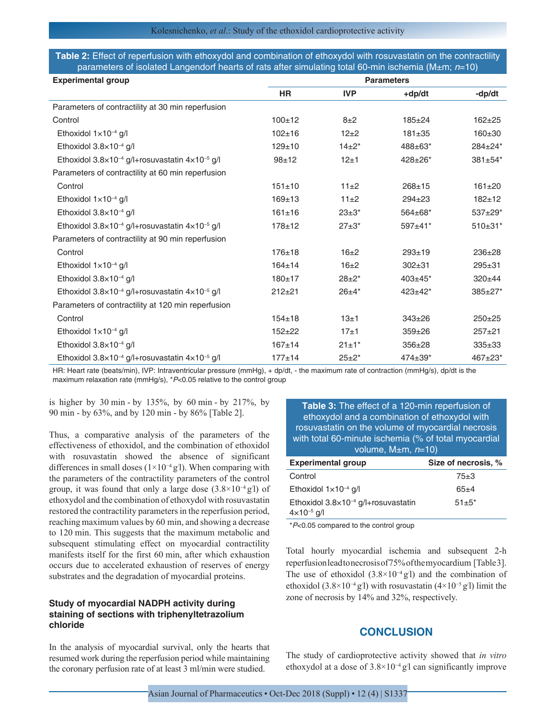| Table 2: Effect of reperfusion with ethoxydol and combination of ethoxydol with rosuvastatin on the contractility             |  |
|-------------------------------------------------------------------------------------------------------------------------------|--|
| $_1$ parameters of isolated Langendorf hearts of rats after simulating total 60-min ischemia (M±m; <i>n</i> =10) <sup>1</sup> |  |

| <b>Experimental group</b>                                              | <b>Parameters</b> |              |                |              |
|------------------------------------------------------------------------|-------------------|--------------|----------------|--------------|
|                                                                        | <b>HR</b>         | <b>IVP</b>   | +dp/dt         | -dp/dt       |
| Parameters of contractility at 30 min reperfusion                      |                   |              |                |              |
| Control                                                                | $100 + 12$        | $8\pm2$      | $185 + 24$     | $162 + 25$   |
| Ethoxidol $1 \times 10^{-4}$ g/l                                       | $102 + 16$        | $12+2$       | $181 + 35$     | $160 \pm 30$ |
| Ethoxidol 3.8×10 <sup>-4</sup> g/l                                     | $129 + 10$        | $14+2*$      | $488 \pm 63$ * | 284±24*      |
| Ethoxidol $3.8 \times 10^{-4}$ g/l+rosuvastatin $4 \times 10^{-5}$ g/l | $98 + 12$         | 12±1         | 428±26*        | 381±54*      |
| Parameters of contractility at 60 min reperfusion                      |                   |              |                |              |
| Control                                                                | $151 + 10$        | 11±2         | $268 + 15$     | $161 \pm 20$ |
| Ethoxidol $1 \times 10^{-4}$ g/l                                       | $169 + 13$        | 11±2         | $294 \pm 23$   | $182 + 12$   |
| Ethoxidol $3.8\times10^{-4}$ g/l                                       | $161 \pm 16$      | $23 \pm 3^*$ | 564±68*        | 537±29*      |
| Ethoxidol 3.8×10 <sup>-4</sup> g/l+rosuvastatin 4×10 <sup>-5</sup> g/l | $178 + 12$        | $27+3*$      | $597 \pm 41$ * | $510\pm31*$  |
| Parameters of contractility at 90 min reperfusion                      |                   |              |                |              |
| Control                                                                | $176 + 18$        | $16\pm2$     | $293 + 19$     | $236+28$     |
| Ethoxidol $1 \times 10^{-4}$ g/l                                       | $164 + 14$        | $16\pm2$     | $302 + 31$     | $295 + 31$   |
| Ethoxidol 3.8×10 <sup>-4</sup> g/l                                     | $180 + 17$        | $28+2*$      | $403 \pm 45$ * | $320 + 44$   |
| Ethoxidol $3.8 \times 10^{-4}$ g/l+rosuvastatin $4 \times 10^{-5}$ g/l | $212 + 21$        | $26+4*$      | $423 \pm 42^*$ | 385±27*      |
| Parameters of contractility at 120 min reperfusion                     |                   |              |                |              |
| Control                                                                | $154 + 18$        | 13±1         | $343 \pm 26$   | $250+25$     |
| Ethoxidol $1 \times 10^{-4}$ g/l                                       | $152 + 22$        | 17±1         | $359 + 26$     | $257 + 21$   |
| Ethoxidol 3.8×10 <sup>-4</sup> g/l                                     | $167 + 14$        | $21 \pm 1^*$ | $356 + 28$     | $335+33$     |
| Ethoxidol $3.8 \times 10^{-4}$ g/l+rosuvastatin $4 \times 10^{-5}$ g/l | $177 + 14$        | $25 + 2^*$   | $474 \pm 39*$  | 467±23*      |

HR: Heart rate (beats/min), IVP: Intraventricular pressure (mmHg), + dp/dt, - the maximum rate of contraction (mmHg/s), dp/dt is the maximum relaxation rate (mmHg/s), \**P*<0.05 relative to the control group

is higher by  $30 \text{ min}$  - by  $135\%$ , by  $60 \text{ min}$  - by  $217\%$ , by 90 min - by 63%, and by 120 min - by 86% [Table 2].

Thus, a comparative analysis of the parameters of the effectiveness of ethoxidol, and the combination of ethoxidol with rosuvastatin showed the absence of significant differences in small doses  $(1 \times 10^{-4} \text{ g}/\text{l})$ . When comparing with the parameters of the contractility parameters of the control group, it was found that only a large dose  $(3.8 \times 10^{-4} \text{ g}/\text{l})$  of ethoxydol and the combination of ethoxydol with rosuvastatin restored the contractility parameters in the reperfusion period, reaching maximum values by 60 min, and showing a decrease to 120 min. This suggests that the maximum metabolic and subsequent stimulating effect on myocardial contractility manifests itself for the first 60 min, after which exhaustion occurs due to accelerated exhaustion of reserves of energy substrates and the degradation of myocardial proteins.

### **Study of myocardial NADPH activity during staining of sections with triphenyltetrazolium chloride**

In the analysis of myocardial survival, only the hearts that resumed work during the reperfusion period while maintaining the coronary perfusion rate of at least 3 ml/min were studied.

**Table 3:** The effect of a 120‑min reperfusion of ethoxydol and a combination of ethoxydol with rosuvastatin on the volume of myocardial necrosis with total 60-minute ischemia (% of total myocardial volume, M±m, *n*=10)

| Size of necrosis, % |
|---------------------|
| $75 + 3$            |
| $65+4$              |
| $51 \pm 5^*$        |
|                     |

\**P*<0.05 compared to the control group

Total hourly myocardial ischemia and subsequent 2-h reperfusion lead to necrosis of 75% of the myocardium [Table 3]. The use of ethoxidol  $(3.8 \times 10^{-4} \text{ g}$ <sup>'</sup>) and the combination of ethoxidol (3.8×10<sup>-4</sup> g<sup>'</sup>l) with rosuvastatin (4×10<sup>-5</sup> g<sup>'</sup>l) limit the zone of necrosis by 14% and 32%, respectively.

## **CONCLUSION**

The study of cardioprotective activity showed that *in vitro*  ethoxydol at a dose of  $3.8 \times 10^{-4}$  g<sup>'</sup>l can significantly improve